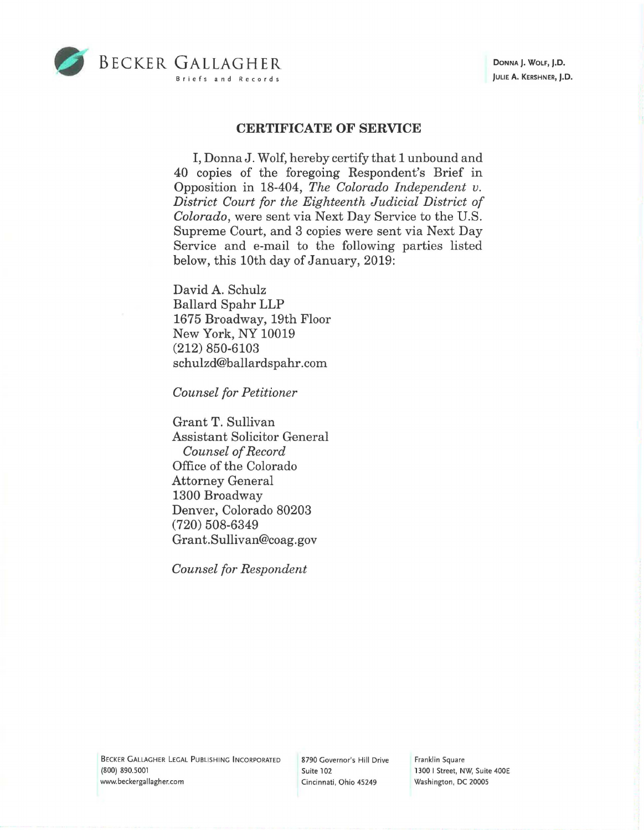

## **CERTIFICATE OF SERVICE**

I, Donna J. Wolf, hereby certify that 1 unbound and 40 copies of the foregoing Respondent's Brief in Opposition in 18-404, *The Colorado Independent v. District Court for the Eighteenth Judicial District of Colorado,* were sent via Next Day Service to the U.S. Supreme Court, and 3 copies were sent via Next Day Service and e-mail to the following parties listed below, this 10th day of January, 2019:

David A. Schulz Ballard Spahr LLP 1675 Broadway, 19th Floor New York, NY 10019 (212) 850-6103 schulzd@ballardspahr.com

*Counsel for Petitioner* 

Grant T. Sullivan Assistant Solicitor General *Counsel of Record*  Office of the Colorado Attorney General 1300 Broadway Denver, Colorado 80203 (720) 508-6349 Grant.Sullivan@coag.gov

*Counsel for Respondent* 

BECKER GALLAGHER LEGAL PUBLISHING INCORPORATED **(800)** 890.5001 www.beckergallagher.com

8790 Governor's Hill Drive Suite 102 Cincinnati, Ohio 45249

Franklin Square 1300 I Street, NW, Suite 400E Washington, DC 20005